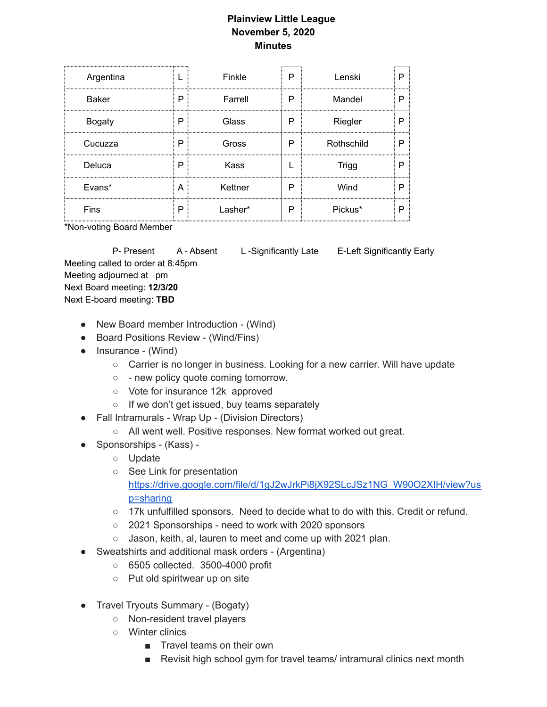## **Plainview Little League November 5, 2020 Minutes**

| Argentina     |   | Finkle  | P | Lenski     | P |
|---------------|---|---------|---|------------|---|
| <b>Baker</b>  | Р | Farrell | P | Mandel     | P |
| <b>Bogaty</b> | Р | Glass   | Р | Riegler    | D |
| Cucuzza       | Р | Gross   | Р | Rothschild | P |
| Deluca        | Р | Kass    |   | Trigg      | D |
| Evans*        | A | Kettner | P | Wind       | D |
| Fins          | P | Lasher* | P | Pickus*    | P |

\*Non-voting Board Member

P- Present A - Absent L-Significantly Late E-Left Significantly Early

Meeting called to order at 8:45pm Meeting adjourned at pm Next Board meeting: **12/3/20** Next E-board meeting: **TBD**

- New Board member Introduction (Wind)
- Board Positions Review (Wind/Fins)
- Insurance (Wind)
	- Carrier is no longer in business. Looking for a new carrier. Will have update
	- - new policy quote coming tomorrow.
	- Vote for insurance 12k approved
	- If we don't get issued, buy teams separately
- Fall Intramurals Wrap Up (Division Directors)
	- All went well. Positive responses. New format worked out great.
- Sponsorships (Kass) -
	- Update
	- See Link for presentation [https://drive.google.com/file/d/1gJ2wJrkPi8jX92SLcJSz1NG\\_W90O2XIH/view?us](https://drive.google.com/file/d/1gJ2wJrkPi8jX92SLcJSz1NG_W90O2XIH/view?usp=sharing) [p=sharing](https://drive.google.com/file/d/1gJ2wJrkPi8jX92SLcJSz1NG_W90O2XIH/view?usp=sharing)
	- 17k unfulfilled sponsors. Need to decide what to do with this. Credit or refund.
	- 2021 Sponsorships need to work with 2020 sponsors
	- Jason, keith, al, lauren to meet and come up with 2021 plan.
- Sweatshirts and additional mask orders (Argentina)
	- 6505 collected. 3500-4000 profit
	- Put old spiritwear up on site
- Travel Tryouts Summary (Bogaty)
	- Non-resident travel players
	- Winter clinics
		- Travel teams on their own
		- Revisit high school gym for travel teams/ intramural clinics next month